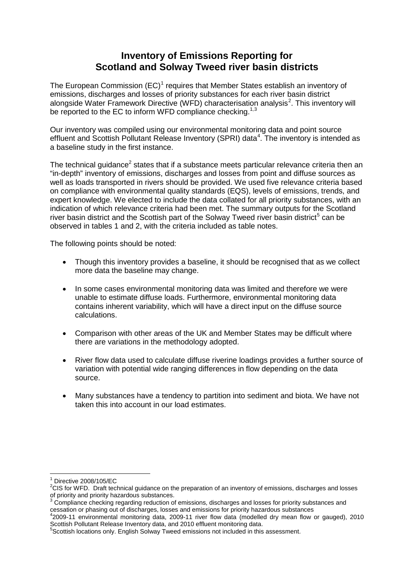## **Inventory of Emissions Reporting for Scotland and Solway Tweed river basin districts**

The European Commission  $(EC)^1$  $(EC)^1$  requires that Member States establish an inventory of emissions, discharges and losses of priority substances for each river basin district alongside Water Framework Directive (WFD) characterisation analysis<sup>[2](#page-0-1)</sup>. This inventory will be reported to the EC to inform WFD compliance checking.<sup>1,[3](#page-0-2)</sup>

Our inventory was compiled using our environmental monitoring data and point source effluent and Scottish Pollutant Release Inventory (SPRI) data<sup>[4](#page-0-3)</sup>. The inventory is intended as a baseline study in the first instance.

The technical guidance<sup>2</sup> states that if a substance meets particular relevance criteria then an "in-depth" inventory of emissions, discharges and losses from point and diffuse sources as well as loads transported in rivers should be provided. We used five relevance criteria based on compliance with environmental quality standards (EQS), levels of emissions, trends, and expert knowledge. We elected to include the data collated for all priority substances, with an indication of which relevance criteria had been met. The summary outputs for the Scotland river basin district and the Scottish part of the Solway Tweed river basin district<sup>[5](#page-0-4)</sup> can be observed in tables 1 and 2, with the criteria included as table notes.

The following points should be noted:

- Though this inventory provides a baseline, it should be recognised that as we collect more data the baseline may change.
- In some cases environmental monitoring data was limited and therefore we were unable to estimate diffuse loads. Furthermore, environmental monitoring data contains inherent variability, which will have a direct input on the diffuse source calculations.
- Comparison with other areas of the UK and Member States may be difficult where there are variations in the methodology adopted.
- River flow data used to calculate diffuse riverine loadings provides a further source of variation with potential wide ranging differences in flow depending on the data source.
- Many substances have a tendency to partition into sediment and biota. We have not taken this into account in our load estimates.

<span id="page-0-0"></span>Directive 2008/105/EC

 ${}^{2}$ CIS for WFD. Draft technical guidance on the preparation of an inventory of emissions, discharges and losses

<span id="page-0-2"></span><span id="page-0-1"></span>of priority and priority hazardous substances.<br><sup>3</sup> Compliance checking regarding reduction of emissions, discharges and losses for priority substances and

<span id="page-0-3"></span>cessation or phasing out of discharges, losses and emissions for priority hazardous substances 4 2009-11 environmental monitoring data, 2009-11 river flow data (modelled dry mean flow or gauged), 2010 Scottish Pollutant Release Inventory data, and 2010 effluent monitoring data.

<span id="page-0-4"></span><sup>&</sup>lt;sup>5</sup>Scottish locations only. English Solway Tweed emissions not included in this assessment.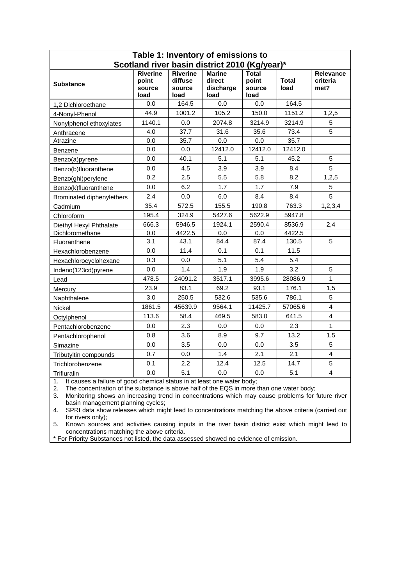| Table 1: Inventory of emissions to            |                                            |                                       |                                              |                                         |                      |                                      |  |  |  |
|-----------------------------------------------|--------------------------------------------|---------------------------------------|----------------------------------------------|-----------------------------------------|----------------------|--------------------------------------|--|--|--|
| Scotland river basin district 2010 (Kg/year)* |                                            |                                       |                                              |                                         |                      |                                      |  |  |  |
| <b>Substance</b>                              | <b>Riverine</b><br>point<br>source<br>load | Riverine<br>diffuse<br>source<br>load | <b>Marine</b><br>direct<br>discharge<br>load | <b>Total</b><br>point<br>source<br>load | <b>Total</b><br>load | <b>Relevance</b><br>criteria<br>met? |  |  |  |
| 1,2 Dichloroethane                            | 0.0                                        | 164.5                                 | 0.0                                          | 0.0                                     | 164.5                |                                      |  |  |  |
| 4-Nonyl-Phenol                                | 44.9                                       | 1001.2                                | 105.2                                        | 150.0                                   | 1151.2               | 1,2,5                                |  |  |  |
| Nonylphenol ethoxylates                       | 1140.1                                     | 0.0                                   | 2074.8                                       | 3214.9                                  | 3214.9               | 5                                    |  |  |  |
| Anthracene                                    | 4.0                                        | 37.7                                  | 31.6                                         | 35.6                                    | 73.4                 | 5                                    |  |  |  |
| Atrazine                                      | 0.0                                        | 35.7                                  | 0.0                                          | 0.0                                     | 35.7                 |                                      |  |  |  |
| Benzene                                       | 0.0                                        | 0.0                                   | 12412.0                                      | 12412.0                                 | 12412.0              |                                      |  |  |  |
| Benzo(a)pyrene                                | 0.0                                        | 40.1                                  | 5.1                                          | 5.1                                     | 45.2                 | 5                                    |  |  |  |
| Benzo(b)fluoranthene                          | 0.0                                        | 4.5                                   | 3.9                                          | 3.9                                     | 8.4                  | 5                                    |  |  |  |
| Benzo(ghi)perylene                            | 0.2                                        | 2.5                                   | 5.5                                          | 5.8                                     | 8.2                  | 1,2,5                                |  |  |  |
| Benzo(k)fluoranthene                          | 0.0                                        | 6.2                                   | 1.7                                          | 1.7                                     | 7.9                  | 5                                    |  |  |  |
| Brominated diphenylethers                     | 2.4                                        | 0.0                                   | 6.0                                          | 8.4                                     | 8.4                  | 5                                    |  |  |  |
| Cadmium                                       | 35.4                                       | 572.5                                 | 155.5                                        | 190.8                                   | 763.3                | 1, 2, 3, 4                           |  |  |  |
| Chloroform                                    | 195.4                                      | 324.9                                 | 5427.6                                       | 5622.9                                  | 5947.8               |                                      |  |  |  |
| Diethyl Hexyl Phthalate                       | 666.3                                      | 5946.5                                | 1924.1                                       | 2590.4                                  | 8536.9               | 2,4                                  |  |  |  |
| Dichloromethane                               | 0.0                                        | 4422.5                                | 0.0                                          | 0.0                                     | 4422.5               |                                      |  |  |  |
| Fluoranthene                                  | 3.1                                        | 43.1                                  | 84.4                                         | 87.4                                    | 130.5                | 5                                    |  |  |  |
| Hexachlorobenzene                             | 0.0                                        | 11.4                                  | 0.1                                          | 0.1                                     | 11.5                 |                                      |  |  |  |
| Hexachlorocyclohexane                         | 0.3                                        | 0.0                                   | 5.1                                          | 5.4                                     | 5.4                  |                                      |  |  |  |
| Indeno(123cd)pyrene                           | 0.0                                        | 1.4                                   | 1.9                                          | 1.9                                     | 3.2                  | 5                                    |  |  |  |
| Lead                                          | 478.5                                      | 24091.2                               | 3517.1                                       | 3995.6                                  | 28086.9              | 1                                    |  |  |  |
| Mercury                                       | 23.9                                       | 83.1                                  | 69.2                                         | 93.1                                    | 176.1                | 1,5                                  |  |  |  |
| Naphthalene                                   | 3.0                                        | 250.5                                 | 532.6                                        | 535.6                                   | 786.1                | 5                                    |  |  |  |
| Nickel                                        | 1861.5                                     | 45639.9                               | 9564.1                                       | 11425.7                                 | 57065.6              | 4                                    |  |  |  |
| Octylphenol                                   | 113.6                                      | 58.4                                  | 469.5                                        | 583.0                                   | 641.5                | 4                                    |  |  |  |
| Pentachlorobenzene                            | 0.0                                        | 2.3                                   | 0.0                                          | 0.0                                     | 2.3                  | 1                                    |  |  |  |
| Pentachlorophenol                             | 0.8                                        | 3.6                                   | 8.9                                          | 9.7                                     | 13.2                 | 1,5                                  |  |  |  |
| Simazine                                      | 0.0                                        | 3.5                                   | 0.0                                          | 0.0                                     | 3.5                  | 5                                    |  |  |  |
| Tributyltin compounds                         | 0.7                                        | 0.0                                   | 1.4                                          | 2.1                                     | 2.1                  | $\overline{\mathbf{4}}$              |  |  |  |
| Trichlorobenzene                              | 0.1                                        | 2.2                                   | 12.4                                         | 12.5                                    | 14.7                 | 5                                    |  |  |  |
| Trifluralin                                   | 0.0                                        | 5.1                                   | 0.0                                          | 0.0                                     | 5.1                  | $\overline{4}$                       |  |  |  |
|                                               |                                            |                                       |                                              |                                         |                      |                                      |  |  |  |

1. It causes a failure of good chemical status in at least one water body;

2. The concentration of the substance is above half of the EQS in more than one water body;

3. Monitoring shows an increasing trend in concentrations which may cause problems for future river basin management planning cycles;

4. SPRI data show releases which might lead to concentrations matching the above criteria (carried out for rivers only);

5. Known sources and activities causing inputs in the river basin district exist which might lead to concentrations matching the above criteria.

\* For Priority Substances not listed, the data assessed showed no evidence of emission.